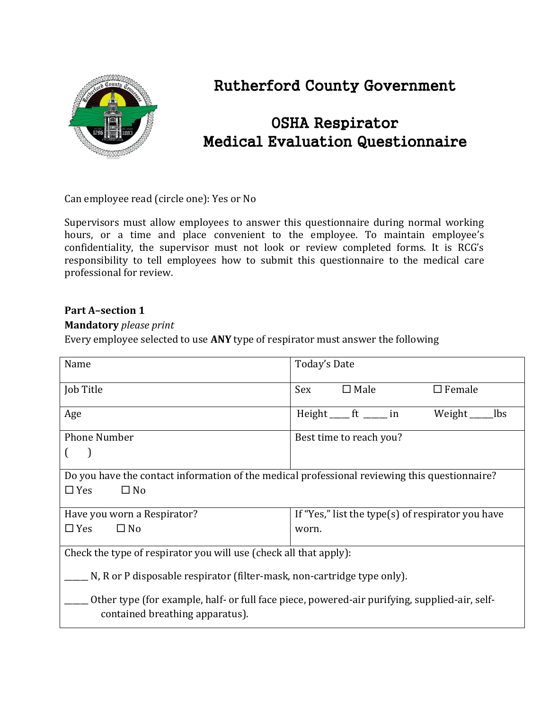

# Rutherford County Government

# OSHA Respirator Medical Evaluation Questionnaire

Can employee read (circle one): Yes or No

Supervisors must allow employees to answer this questionnaire during normal working hours, or a time and place convenient to the employee. To maintain employee's confidentiality, the supervisor must not look or review completed forms. It is RCG's responsibility to tell employees how to submit this questionnaire to the medical care professional for review.

#### **Part A–section 1**

#### **Mandatory** *please print*

Every employee selected to use **ANY** type of respirator must answer the following

| Name                                                                                                                             | Today's Date                                      |  |  |
|----------------------------------------------------------------------------------------------------------------------------------|---------------------------------------------------|--|--|
| Job Title                                                                                                                        | $\Box$ Male<br><b>Sex</b><br>$\square$ Female     |  |  |
| Age                                                                                                                              | Height ft _____ in<br>Weight<br>lbs               |  |  |
| <b>Phone Number</b>                                                                                                              | Best time to reach you?                           |  |  |
|                                                                                                                                  |                                                   |  |  |
| Do you have the contact information of the medical professional reviewing this questionnaire?                                    |                                                   |  |  |
| $\Box$ Yes<br>$\square$ No                                                                                                       |                                                   |  |  |
| Have you worn a Respirator?                                                                                                      | If "Yes," list the type(s) of respirator you have |  |  |
| $\Box$ Yes<br>$\Box$ No                                                                                                          | worn.                                             |  |  |
| Check the type of respirator you will use (check all that apply):                                                                |                                                   |  |  |
| N, R or P disposable respirator (filter-mask, non-cartridge type only).                                                          |                                                   |  |  |
| Other type (for example, half- or full face piece, powered-air purifying, supplied-air, self-<br>contained breathing apparatus). |                                                   |  |  |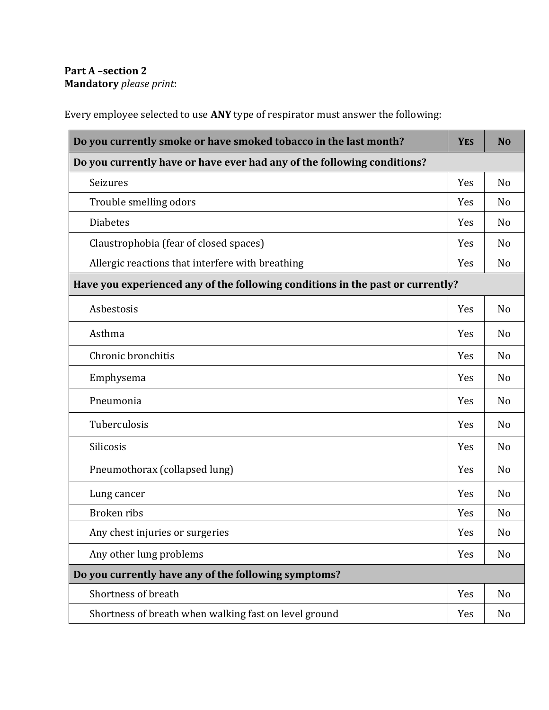# **Part A –section 2 Mandatory** *please print*:

Every employee selected to use **ANY** type of respirator must answer the following:

| Do you currently smoke or have smoked tobacco in the last month?               | <b>YES</b> | N <sub>O</sub> |
|--------------------------------------------------------------------------------|------------|----------------|
| Do you currently have or have ever had any of the following conditions?        |            |                |
| Seizures                                                                       | Yes        | N <sub>o</sub> |
| Trouble smelling odors                                                         | Yes        | N <sub>o</sub> |
| <b>Diabetes</b>                                                                | Yes        | N <sub>o</sub> |
| Claustrophobia (fear of closed spaces)                                         | Yes        | N <sub>o</sub> |
| Allergic reactions that interfere with breathing                               | Yes        | N <sub>o</sub> |
| Have you experienced any of the following conditions in the past or currently? |            |                |
| Asbestosis                                                                     | Yes        | N <sub>o</sub> |
| Asthma                                                                         | Yes        | N <sub>o</sub> |
| Chronic bronchitis                                                             | Yes        | N <sub>o</sub> |
| Emphysema                                                                      | Yes        | N <sub>o</sub> |
| Pneumonia                                                                      | Yes        | N <sub>o</sub> |
| Tuberculosis                                                                   | Yes        | N <sub>o</sub> |
| Silicosis                                                                      | Yes        | N <sub>o</sub> |
| Pneumothorax (collapsed lung)                                                  | Yes        | N <sub>o</sub> |
| Lung cancer                                                                    | Yes        | N <sub>o</sub> |
| <b>Broken</b> ribs                                                             | Yes        | N <sub>o</sub> |
| Any chest injuries or surgeries                                                | Yes        | No             |
| Any other lung problems                                                        | Yes        | N <sub>o</sub> |
| Do you currently have any of the following symptoms?                           |            |                |
| Shortness of breath                                                            | Yes        | N <sub>o</sub> |
| Shortness of breath when walking fast on level ground                          | Yes        | No             |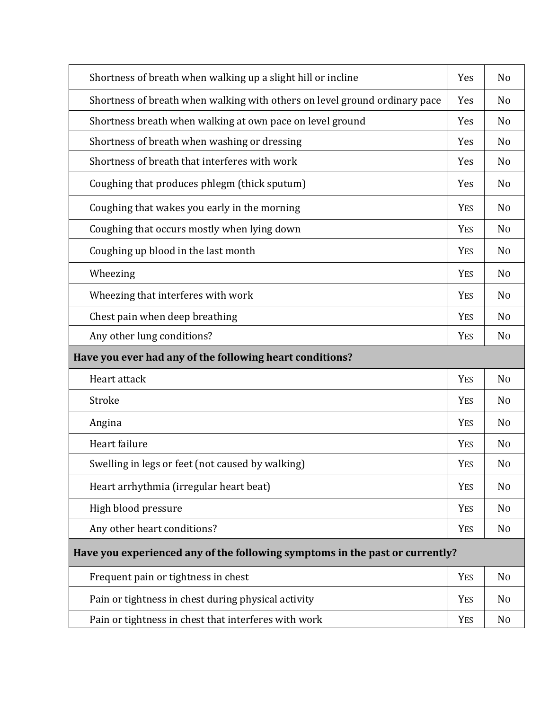| Shortness of breath when walking up a slight hill or incline                 | Yes        | N <sub>0</sub> |
|------------------------------------------------------------------------------|------------|----------------|
| Shortness of breath when walking with others on level ground ordinary pace   | Yes        | N <sub>o</sub> |
| Shortness breath when walking at own pace on level ground                    | Yes        | N <sub>o</sub> |
| Shortness of breath when washing or dressing                                 | Yes        | N <sub>o</sub> |
| Shortness of breath that interferes with work                                | Yes        | N <sub>o</sub> |
| Coughing that produces phlegm (thick sputum)                                 | Yes        | N <sub>o</sub> |
| Coughing that wakes you early in the morning                                 | <b>YES</b> | N <sub>0</sub> |
| Coughing that occurs mostly when lying down                                  | <b>YES</b> | N <sub>0</sub> |
| Coughing up blood in the last month                                          | <b>YES</b> | N <sub>0</sub> |
| Wheezing                                                                     | <b>YES</b> | N <sub>0</sub> |
| Wheezing that interferes with work                                           | <b>YES</b> | N <sub>0</sub> |
| Chest pain when deep breathing                                               | <b>YES</b> | N <sub>0</sub> |
| Any other lung conditions?                                                   | <b>YES</b> | N <sub>0</sub> |
|                                                                              |            |                |
| Have you ever had any of the following heart conditions?                     |            |                |
| Heart attack                                                                 | <b>YES</b> | N <sub>0</sub> |
| Stroke                                                                       | <b>YES</b> | N <sub>0</sub> |
| Angina                                                                       | <b>YES</b> | N <sub>0</sub> |
| Heart failure                                                                | <b>YES</b> | N <sub>0</sub> |
| Swelling in legs or feet (not caused by walking)                             | <b>YES</b> | N <sub>0</sub> |
| Heart arrhythmia (irregular heart beat)                                      | <b>YES</b> | N <sub>0</sub> |
| High blood pressure                                                          | <b>YES</b> | N <sub>0</sub> |
| Any other heart conditions?                                                  | YES        | N <sub>0</sub> |
| Have you experienced any of the following symptoms in the past or currently? |            |                |
| Frequent pain or tightness in chest                                          | <b>YES</b> | N <sub>0</sub> |
| Pain or tightness in chest during physical activity                          | <b>YES</b> | N <sub>0</sub> |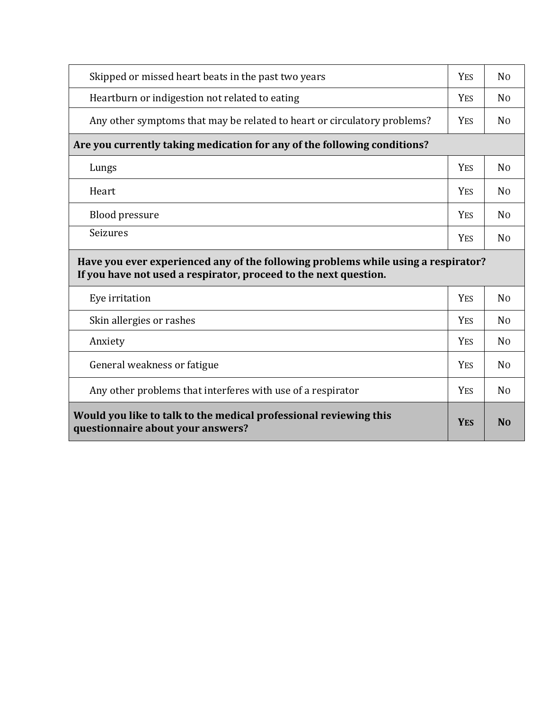| Skipped or missed heart beats in the past two years                                                                                                   | <b>YES</b> | N <sub>0</sub> |
|-------------------------------------------------------------------------------------------------------------------------------------------------------|------------|----------------|
| Heartburn or indigestion not related to eating                                                                                                        | <b>YES</b> | N <sub>0</sub> |
| Any other symptoms that may be related to heart or circulatory problems?                                                                              | <b>YES</b> | N <sub>0</sub> |
| Are you currently taking medication for any of the following conditions?                                                                              |            |                |
| Lungs                                                                                                                                                 | <b>YES</b> | N <sub>0</sub> |
| Heart                                                                                                                                                 | <b>YES</b> | N <sub>0</sub> |
| <b>Blood pressure</b>                                                                                                                                 | <b>YES</b> | N <sub>0</sub> |
|                                                                                                                                                       |            |                |
| Seizures                                                                                                                                              | <b>YES</b> | N <sub>0</sub> |
| Have you ever experienced any of the following problems while using a respirator?<br>If you have not used a respirator, proceed to the next question. |            |                |
| Eye irritation                                                                                                                                        | <b>YES</b> | N <sub>0</sub> |
| Skin allergies or rashes                                                                                                                              | <b>YES</b> | N <sub>0</sub> |
| Anxiety                                                                                                                                               | <b>YES</b> | N <sub>0</sub> |
| General weakness or fatigue                                                                                                                           | <b>YES</b> | N <sub>0</sub> |
| Any other problems that interferes with use of a respirator                                                                                           | <b>YES</b> | N <sub>0</sub> |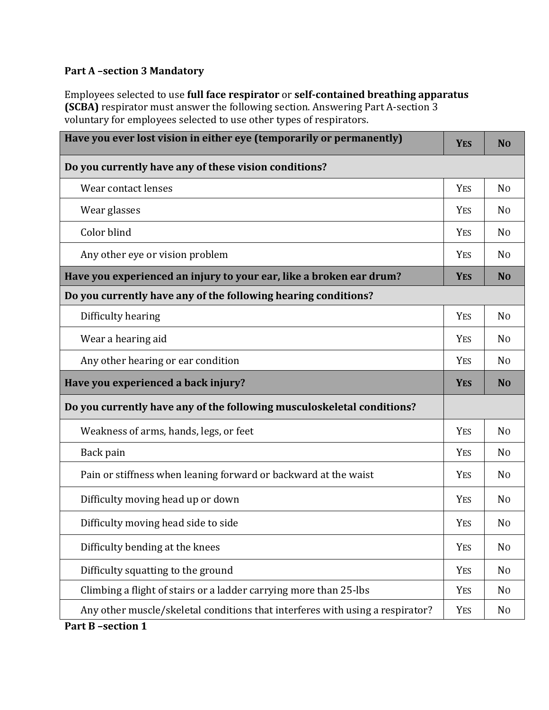### **Part A –section 3 Mandatory**

Employees selected to use **full face respirator** or **self-contained breathing apparatus (SCBA)** respirator must answer the following section. Answering Part A-section 3 voluntary for employees selected to use other types of respirators.

| Have you ever lost vision in either eye (temporarily or permanently)          | <b>YES</b> | N <sub>0</sub> |
|-------------------------------------------------------------------------------|------------|----------------|
| Do you currently have any of these vision conditions?                         |            |                |
| Wear contact lenses                                                           | <b>YES</b> | N <sub>0</sub> |
| Wear glasses                                                                  | <b>YES</b> | N <sub>0</sub> |
| Color blind                                                                   | <b>YES</b> | N <sub>0</sub> |
| Any other eye or vision problem                                               | YES        | N <sub>0</sub> |
| Have you experienced an injury to your ear, like a broken ear drum?           | <b>YES</b> | N <sub>O</sub> |
| Do you currently have any of the following hearing conditions?                |            |                |
| Difficulty hearing                                                            | <b>YES</b> | N <sub>0</sub> |
| Wear a hearing aid                                                            | <b>YES</b> | No             |
| Any other hearing or ear condition                                            | <b>YES</b> | N <sub>0</sub> |
| Have you experienced a back injury?                                           | <b>YES</b> | N <sub>0</sub> |
| Do you currently have any of the following musculoskeletal conditions?        |            |                |
| Weakness of arms, hands, legs, or feet                                        | <b>YES</b> | N <sub>0</sub> |
| Back pain                                                                     | <b>YES</b> | N <sub>0</sub> |
| Pain or stiffness when leaning forward or backward at the waist               | <b>YES</b> | N <sub>0</sub> |
| Difficulty moving head up or down                                             | <b>YES</b> | No             |
| Difficulty moving head side to side                                           | <b>YES</b> | N <sub>0</sub> |
| Difficulty bending at the knees                                               | <b>YES</b> | N <sub>0</sub> |
| Difficulty squatting to the ground                                            | <b>YES</b> | N <sub>0</sub> |
| Climbing a flight of stairs or a ladder carrying more than 25-lbs             | <b>YES</b> | N <sub>0</sub> |
| Any other muscle/skeletal conditions that interferes with using a respirator? | <b>YES</b> | N <sub>0</sub> |

**Part B –section 1**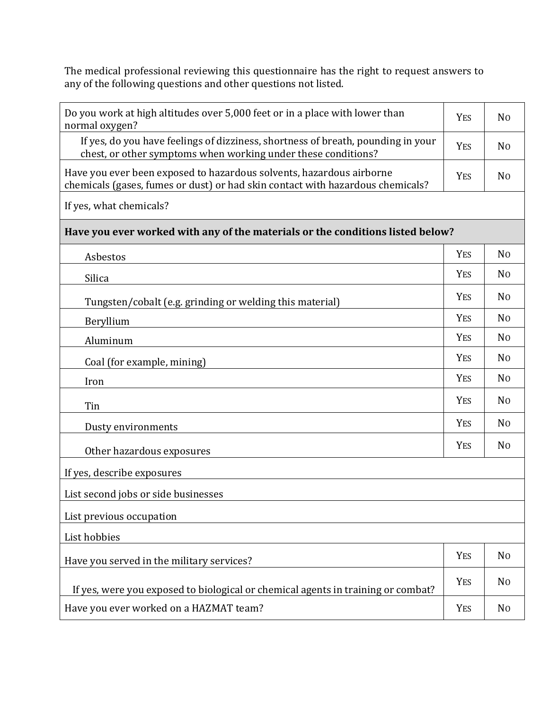The medical professional reviewing this questionnaire has the right to request answers to any of the following questions and other questions not listed.

| Do you work at high altitudes over 5,000 feet or in a place with lower than<br>normal oxygen?                                                          |            | N <sub>0</sub> |
|--------------------------------------------------------------------------------------------------------------------------------------------------------|------------|----------------|
| If yes, do you have feelings of dizziness, shortness of breath, pounding in your<br>chest, or other symptoms when working under these conditions?      | <b>YES</b> | N <sub>0</sub> |
| Have you ever been exposed to hazardous solvents, hazardous airborne<br>chemicals (gases, fumes or dust) or had skin contact with hazardous chemicals? | <b>YES</b> | N <sub>0</sub> |
| If yes, what chemicals?                                                                                                                                |            |                |
| Have you ever worked with any of the materials or the conditions listed below?                                                                         |            |                |
| Asbestos                                                                                                                                               | <b>YES</b> | No             |
| Silica                                                                                                                                                 | <b>YES</b> | N <sub>0</sub> |
| Tungsten/cobalt (e.g. grinding or welding this material)                                                                                               | <b>YES</b> | N <sub>0</sub> |
| Beryllium                                                                                                                                              | <b>YES</b> | N <sub>0</sub> |
| Aluminum                                                                                                                                               | <b>YES</b> | N <sub>0</sub> |
| Coal (for example, mining)                                                                                                                             | <b>YES</b> | N <sub>0</sub> |
| Iron                                                                                                                                                   | <b>YES</b> | N <sub>0</sub> |
| Tin                                                                                                                                                    | <b>YES</b> | N <sub>0</sub> |
| Dusty environments                                                                                                                                     | <b>YES</b> | N <sub>0</sub> |
| Other hazardous exposures                                                                                                                              | <b>YES</b> | N <sub>0</sub> |
| If yes, describe exposures                                                                                                                             |            |                |
| List second jobs or side businesses                                                                                                                    |            |                |
| List previous occupation                                                                                                                               |            |                |
| List hobbies                                                                                                                                           |            |                |
| Have you served in the military services?                                                                                                              | YES        | No             |
| If yes, were you exposed to biological or chemical agents in training or combat?                                                                       | <b>YES</b> | No             |
| Have you ever worked on a HAZMAT team?                                                                                                                 | YES        | No             |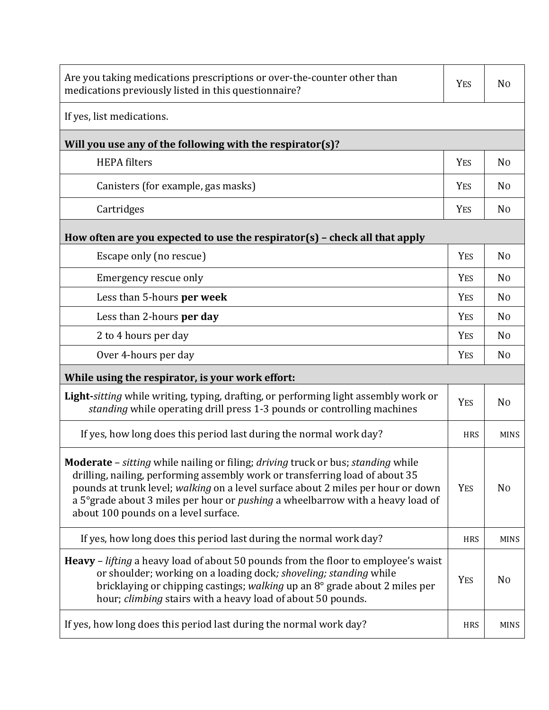| Are you taking medications prescriptions or over-the-counter other than<br>medications previously listed in this questionnaire?                                                                                                                                                                                                                                                                                    | <b>YES</b> | N <sub>0</sub> |
|--------------------------------------------------------------------------------------------------------------------------------------------------------------------------------------------------------------------------------------------------------------------------------------------------------------------------------------------------------------------------------------------------------------------|------------|----------------|
| If yes, list medications.                                                                                                                                                                                                                                                                                                                                                                                          |            |                |
| Will you use any of the following with the respirator(s)?                                                                                                                                                                                                                                                                                                                                                          |            |                |
| <b>HEPA</b> filters                                                                                                                                                                                                                                                                                                                                                                                                | <b>YES</b> | N <sub>0</sub> |
| Canisters (for example, gas masks)                                                                                                                                                                                                                                                                                                                                                                                 | <b>YES</b> | N <sub>0</sub> |
| Cartridges                                                                                                                                                                                                                                                                                                                                                                                                         | <b>YES</b> | N <sub>0</sub> |
| How often are you expected to use the respirator(s) $-$ check all that apply                                                                                                                                                                                                                                                                                                                                       |            |                |
| Escape only (no rescue)                                                                                                                                                                                                                                                                                                                                                                                            | <b>YES</b> | N <sub>0</sub> |
| Emergency rescue only                                                                                                                                                                                                                                                                                                                                                                                              | <b>YES</b> | N <sub>0</sub> |
| Less than 5-hours per week                                                                                                                                                                                                                                                                                                                                                                                         | <b>YES</b> | N <sub>0</sub> |
| Less than 2-hours per day                                                                                                                                                                                                                                                                                                                                                                                          | <b>YES</b> | N <sub>0</sub> |
| 2 to 4 hours per day                                                                                                                                                                                                                                                                                                                                                                                               | <b>YES</b> | N <sub>0</sub> |
| Over 4-hours per day                                                                                                                                                                                                                                                                                                                                                                                               | <b>YES</b> | N <sub>0</sub> |
| While using the respirator, is your work effort:                                                                                                                                                                                                                                                                                                                                                                   |            |                |
| <b>Light-</b> sitting while writing, typing, drafting, or performing light assembly work or<br>standing while operating drill press 1-3 pounds or controlling machines                                                                                                                                                                                                                                             | <b>YES</b> | N <sub>0</sub> |
| If yes, how long does this period last during the normal work day?                                                                                                                                                                                                                                                                                                                                                 | <b>HRS</b> | <b>MINS</b>    |
| <b>Moderate</b> – <i>sitting</i> while nailing or filing; <i>driving</i> truck or bus; <i>standing</i> while<br>drilling, nailing, performing assembly work or transferring load of about 35<br>pounds at trunk level; walking on a level surface about 2 miles per hour or down<br>a 5° grade about 3 miles per hour or <i>pushing</i> a wheelbarrow with a heavy load of<br>about 100 pounds on a level surface. | <b>YES</b> | N <sub>0</sub> |
| If yes, how long does this period last during the normal work day?                                                                                                                                                                                                                                                                                                                                                 | <b>HRS</b> | <b>MINS</b>    |
| <b>Heavy</b> – <i>lifting</i> a heavy load of about 50 pounds from the floor to employee's waist<br>or shoulder; working on a loading dock; shoveling; standing while<br>bricklaying or chipping castings; walking up an 8° grade about 2 miles per<br>hour; <i>climbing</i> stairs with a heavy load of about 50 pounds.                                                                                          | <b>YES</b> | N <sub>0</sub> |
| If yes, how long does this period last during the normal work day?                                                                                                                                                                                                                                                                                                                                                 | <b>HRS</b> | <b>MINS</b>    |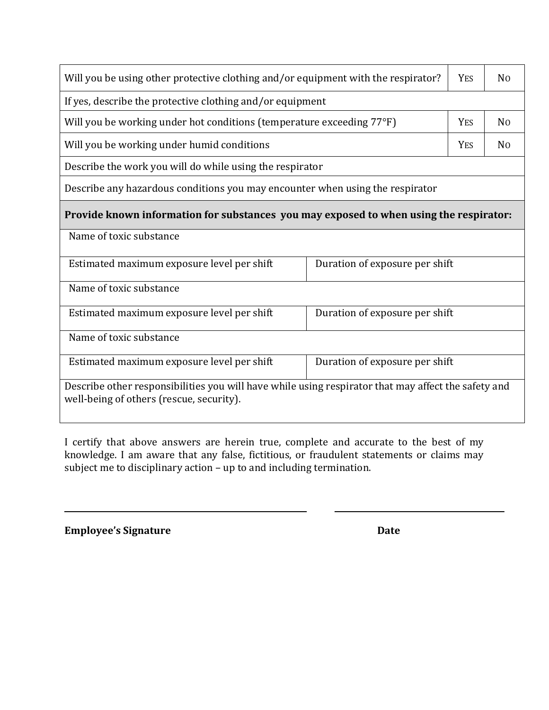| Will you be using other protective clothing and/or equipment with the respirator?                                                               |  |  | No             |
|-------------------------------------------------------------------------------------------------------------------------------------------------|--|--|----------------|
| If yes, describe the protective clothing and/or equipment                                                                                       |  |  |                |
| Will you be working under hot conditions (temperature exceeding 77°F)<br><b>YES</b>                                                             |  |  | No             |
| Will you be working under humid conditions                                                                                                      |  |  | N <sub>0</sub> |
| Describe the work you will do while using the respirator                                                                                        |  |  |                |
| Describe any hazardous conditions you may encounter when using the respirator                                                                   |  |  |                |
| Provide known information for substances you may exposed to when using the respirator:                                                          |  |  |                |
| Name of toxic substance                                                                                                                         |  |  |                |
| Estimated maximum exposure level per shift<br>Duration of exposure per shift                                                                    |  |  |                |
| Name of toxic substance                                                                                                                         |  |  |                |
| Estimated maximum exposure level per shift<br>Duration of exposure per shift                                                                    |  |  |                |
| Name of toxic substance                                                                                                                         |  |  |                |
| Estimated maximum exposure level per shift<br>Duration of exposure per shift                                                                    |  |  |                |
| Describe other responsibilities you will have while using respirator that may affect the safety and<br>well-being of others (rescue, security). |  |  |                |

I certify that above answers are herein true, complete and accurate to the best of my knowledge. I am aware that any false, fictitious, or fraudulent statements or claims may subject me to disciplinary action – up to and including termination.

**Employee's Signature** Date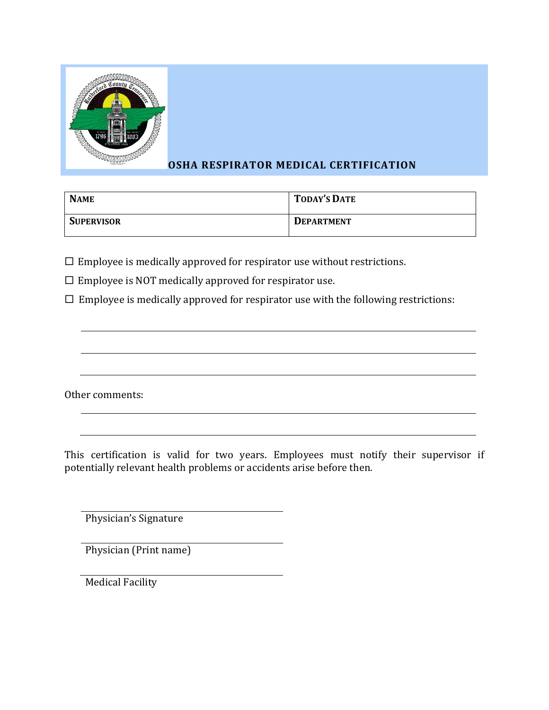

# **OSHA RESPIRATOR MEDICAL CERTIFICATION**

| <b>NAME</b>       | <b>TODAY'S DATE</b> |
|-------------------|---------------------|
| <b>SUPERVISOR</b> | <b>DEPARTMENT</b>   |

 $\square$  Employee is medically approved for respirator use without restrictions.

 $\square$  Employee is NOT medically approved for respirator use.

 $\Box$  Employee is medically approved for respirator use with the following restrictions:

Other comments:

This certification is valid for two years. Employees must notify their supervisor if potentially relevant health problems or accidents arise before then.

Physician's Signature

Physician (Print name)

Medical Facility